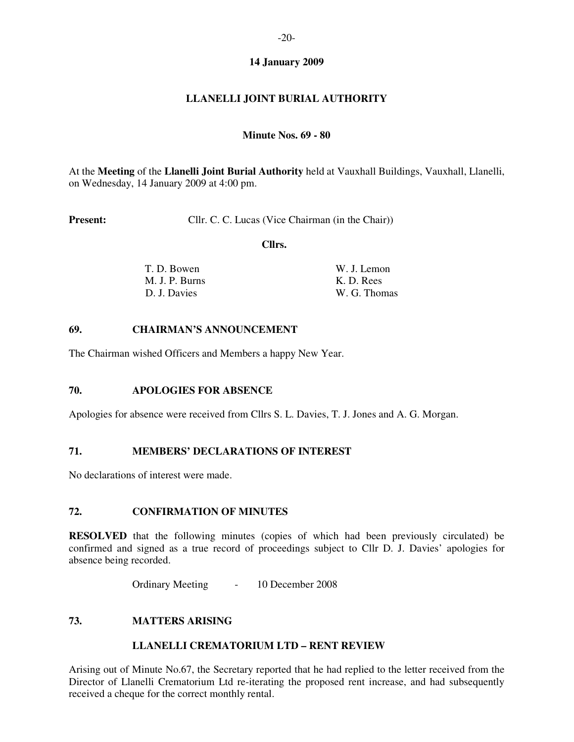# **14 January 2009**

# **LLANELLI JOINT BURIAL AUTHORITY**

#### **Minute Nos. 69 - 80**

At the **Meeting** of the **Llanelli Joint Burial Authority** held at Vauxhall Buildings, Vauxhall, Llanelli, on Wednesday, 14 January 2009 at 4:00 pm.

**Present:** Cllr. C. C. Lucas (Vice Chairman (in the Chair))

 **Cllrs.** 

| T. D. Bowen    | W. J. Lemon  |
|----------------|--------------|
| M. J. P. Burns | K. D. Rees   |
| D. J. Davies   | W. G. Thomas |

#### **69. CHAIRMAN'S ANNOUNCEMENT**

The Chairman wished Officers and Members a happy New Year.

#### **70. APOLOGIES FOR ABSENCE**

Apologies for absence were received from Cllrs S. L. Davies, T. J. Jones and A. G. Morgan.

#### **71. MEMBERS' DECLARATIONS OF INTEREST**

No declarations of interest were made.

### **72. CONFIRMATION OF MINUTES**

**RESOLVED** that the following minutes (copies of which had been previously circulated) be confirmed and signed as a true record of proceedings subject to Cllr D. J. Davies' apologies for absence being recorded.

Ordinary Meeting - 10 December 2008

#### **73. MATTERS ARISING**

#### **LLANELLI CREMATORIUM LTD – RENT REVIEW**

Arising out of Minute No.67, the Secretary reported that he had replied to the letter received from the Director of Llanelli Crematorium Ltd re-iterating the proposed rent increase, and had subsequently received a cheque for the correct monthly rental.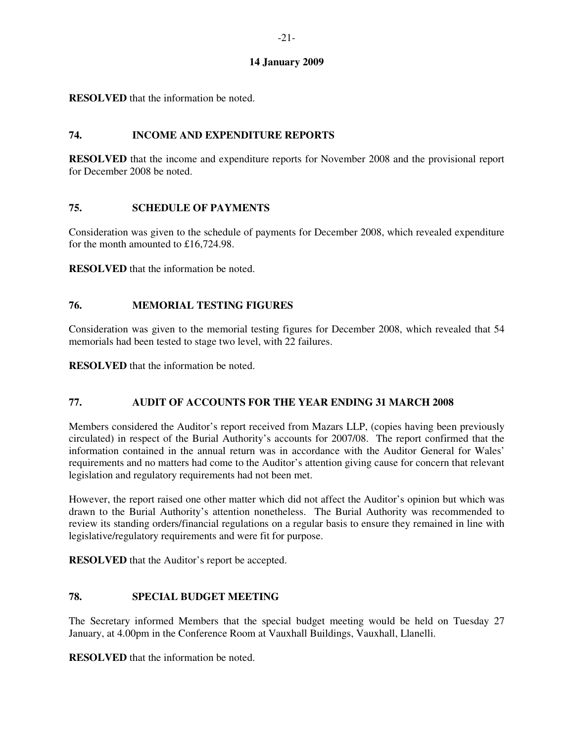# **14 January 2009**

**RESOLVED** that the information be noted.

# **74. INCOME AND EXPENDITURE REPORTS**

**RESOLVED** that the income and expenditure reports for November 2008 and the provisional report for December 2008 be noted.

# **75. SCHEDULE OF PAYMENTS**

Consideration was given to the schedule of payments for December 2008, which revealed expenditure for the month amounted to £16,724.98.

**RESOLVED** that the information be noted.

# **76. MEMORIAL TESTING FIGURES**

Consideration was given to the memorial testing figures for December 2008, which revealed that 54 memorials had been tested to stage two level, with 22 failures.

**RESOLVED** that the information be noted.

# **77. AUDIT OF ACCOUNTS FOR THE YEAR ENDING 31 MARCH 2008**

Members considered the Auditor's report received from Mazars LLP, (copies having been previously circulated) in respect of the Burial Authority's accounts for 2007/08. The report confirmed that the information contained in the annual return was in accordance with the Auditor General for Wales' requirements and no matters had come to the Auditor's attention giving cause for concern that relevant legislation and regulatory requirements had not been met.

However, the report raised one other matter which did not affect the Auditor's opinion but which was drawn to the Burial Authority's attention nonetheless. The Burial Authority was recommended to review its standing orders/financial regulations on a regular basis to ensure they remained in line with legislative/regulatory requirements and were fit for purpose.

**RESOLVED** that the Auditor's report be accepted.

### **78. SPECIAL BUDGET MEETING**

The Secretary informed Members that the special budget meeting would be held on Tuesday 27 January, at 4.00pm in the Conference Room at Vauxhall Buildings, Vauxhall, Llanelli.

**RESOLVED** that the information be noted.